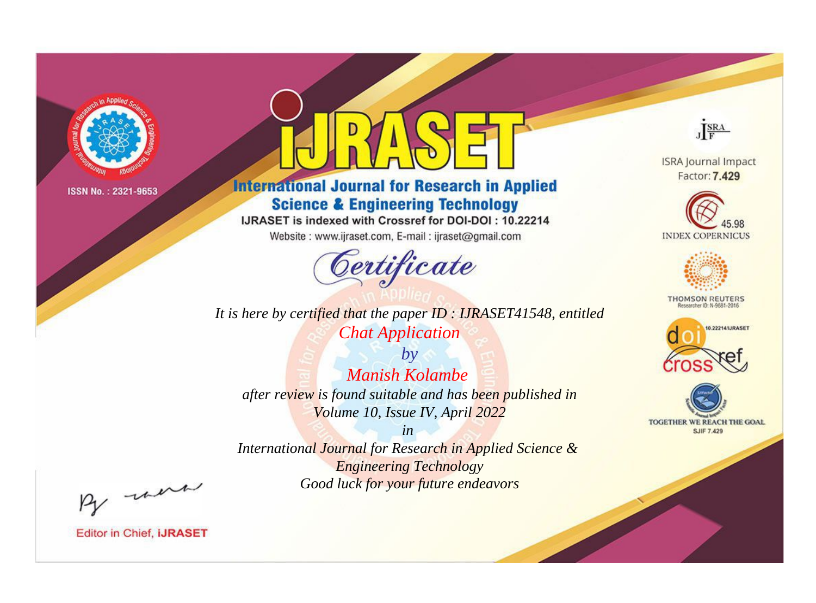

# **International Journal for Research in Applied Science & Engineering Technology**

IJRASET is indexed with Crossref for DOI-DOI: 10.22214

Website: www.ijraset.com, E-mail: ijraset@gmail.com



**ISRA Journal Impact** Factor: 7.429

JERA





**THOMSON REUTERS** 



TOGETHER WE REACH THE GOAL **SJIF 7.429** 

*It is here by certified that the paper ID : IJRASET41548, entitled Chat Application*

*by Manish Kolambe after review is found suitable and has been published in Volume 10, Issue IV, April 2022*

*in* 

*International Journal for Research in Applied Science & Engineering Technology Good luck for your future endeavors*

By morn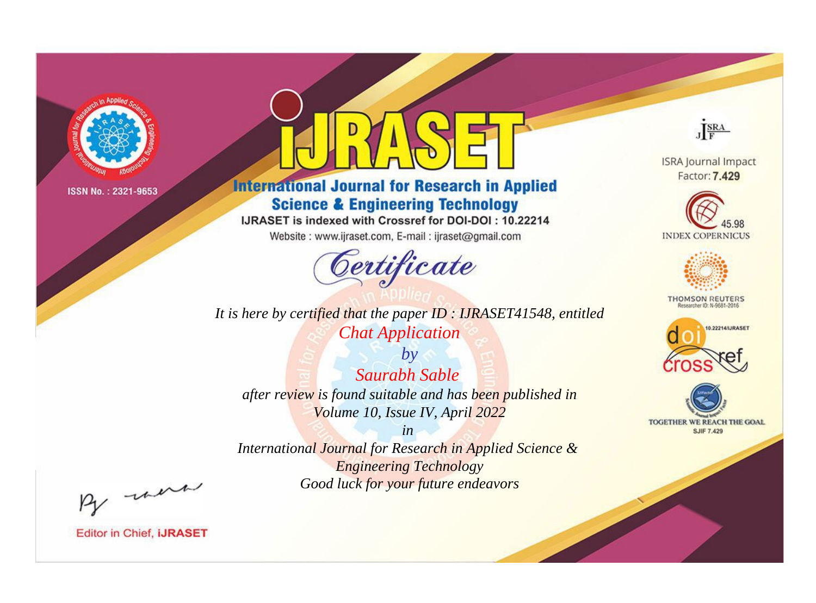

# **International Journal for Research in Applied Science & Engineering Technology**

IJRASET is indexed with Crossref for DOI-DOI: 10.22214

Website: www.ijraset.com, E-mail: ijraset@gmail.com



*It is here by certified that the paper ID : IJRASET41548, entitled Chat Application*

*by Saurabh Sable after review is found suitable and has been published in Volume 10, Issue IV, April 2022*

*in International Journal for Research in Applied Science & Engineering Technology Good luck for your future endeavors*



**ISRA Journal Impact** Factor: 7.429





**THOMSON REUTERS** 





By morn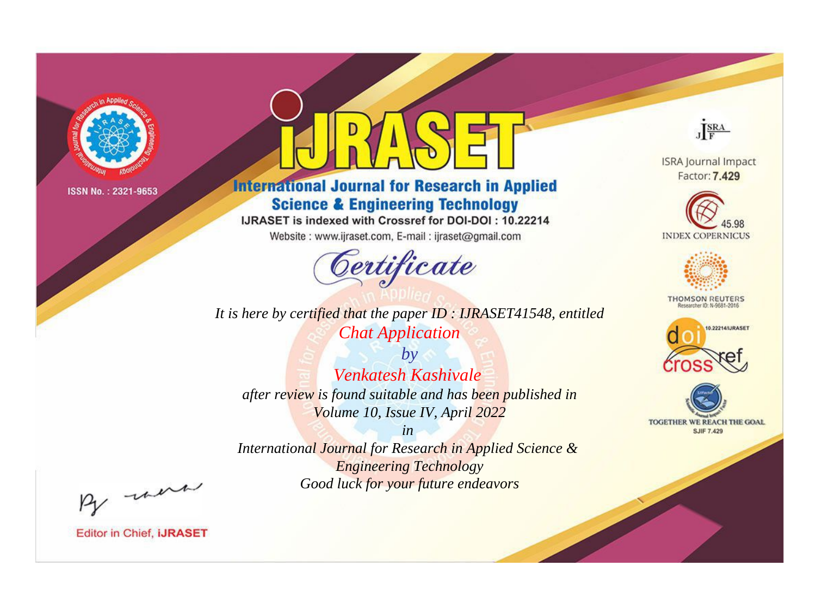

# **International Journal for Research in Applied Science & Engineering Technology**

IJRASET is indexed with Crossref for DOI-DOI: 10.22214

Website: www.ijraset.com, E-mail: ijraset@gmail.com



JERA

**ISRA Journal Impact** Factor: 7.429





**THOMSON REUTERS** 



TOGETHER WE REACH THE GOAL **SJIF 7.429** 

*It is here by certified that the paper ID : IJRASET41548, entitled Chat Application*

*by Venkatesh Kashivale after review is found suitable and has been published in Volume 10, Issue IV, April 2022*

*in* 

*International Journal for Research in Applied Science & Engineering Technology Good luck for your future endeavors*

By morn